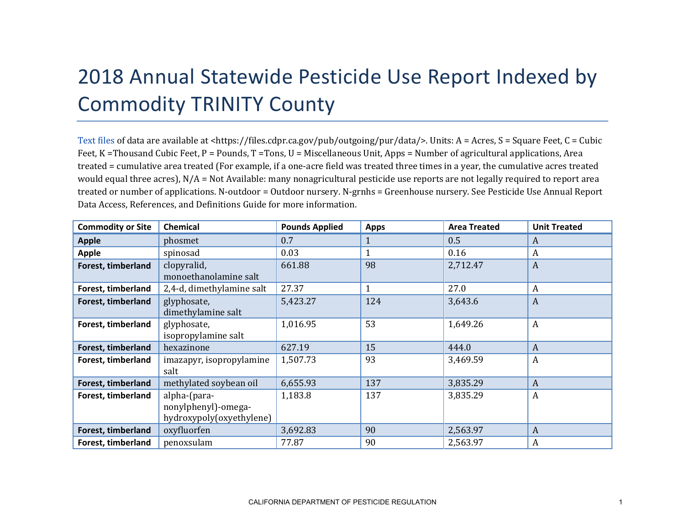## 2018 Annual Statewide Pesticide Use Report Indexed by Commodity TRINITY County

[Text files](https://files.cdpr.ca.gov/pub/outgoing/pur/data/) of data are available at <https://files.cdpr.ca.gov/pub/outgoing/pur/data/>. Units: A = Acres, S = Square Feet, C = Cubic Feet, K = Thousand Cubic Feet, P = Pounds, T = Tons, U = Miscellaneous Unit, Apps = Number of agricultural applications, Area treated = cumulative area treated (For example, if a one-acre field was treated three times in a year, the cumulative acres treated would equal three acres), N/A = Not Available: many nonagricultural pesticide use reports are not legally required to report area treated or number of applications. N-outdoor = Outdoor nursery. N-grnhs = Greenhouse nursery. See Pesticide Use Annual Report Data Access, References, and Definitions Guide for more information.

| <b>Commodity or Site</b> | <b>Chemical</b>                                                 | <b>Pounds Applied</b> | <b>Apps</b>  | <b>Area Treated</b> | <b>Unit Treated</b> |
|--------------------------|-----------------------------------------------------------------|-----------------------|--------------|---------------------|---------------------|
| <b>Apple</b>             | phosmet                                                         | 0.7                   | $\mathbf{1}$ | 0.5                 | A                   |
| <b>Apple</b>             | spinosad                                                        | 0.03                  | 1            | 0.16                | $\boldsymbol{A}$    |
| Forest, timberland       | clopyralid,<br>monoethanolamine salt                            | 661.88                | 98           | 2,712.47            | $\boldsymbol{A}$    |
| Forest, timberland       | 2,4-d, dimethylamine salt                                       | 27.37                 | $\mathbf{1}$ | 27.0                | $\boldsymbol{A}$    |
| Forest, timberland       | glyphosate,<br>dimethylamine salt                               | 5,423.27              | 124          | 3,643.6             | A                   |
| Forest, timberland       | glyphosate,<br>isopropylamine salt                              | 1,016.95              | 53           | 1,649.26            | $\boldsymbol{A}$    |
| Forest, timberland       | hexazinone                                                      | 627.19                | 15           | 444.0               | A                   |
| Forest, timberland       | imazapyr, isopropylamine<br>salt                                | 1,507.73              | 93           | 3,469.59            | $\boldsymbol{A}$    |
| Forest, timberland       | methylated soybean oil                                          | 6,655.93              | 137          | 3,835.29            | $\boldsymbol{A}$    |
| Forest, timberland       | alpha-(para-<br>nonylphenyl)-omega-<br>hydroxypoly(oxyethylene) | 1,183.8               | 137          | 3,835.29            | $\boldsymbol{A}$    |
| Forest, timberland       | oxyfluorfen                                                     | 3,692.83              | 90           | 2,563.97            | A                   |
| Forest, timberland       | penoxsulam                                                      | 77.87                 | 90           | 2,563.97            | A                   |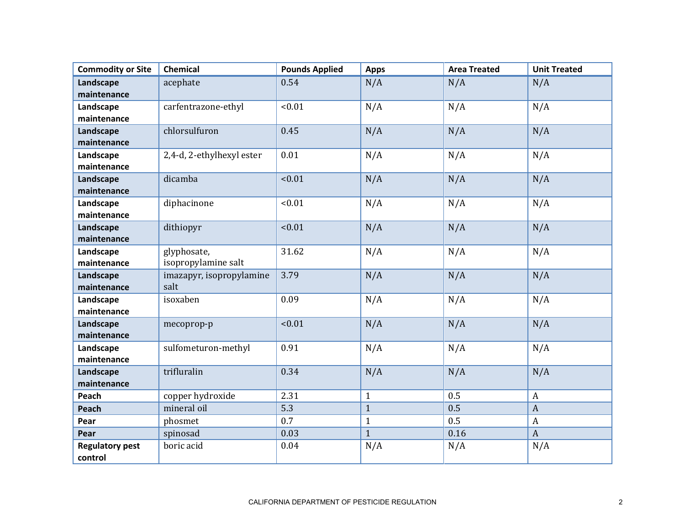| <b>Commodity or Site</b> | Chemical                  | <b>Pounds Applied</b> | <b>Apps</b>  | <b>Area Treated</b> | <b>Unit Treated</b> |
|--------------------------|---------------------------|-----------------------|--------------|---------------------|---------------------|
| Landscape                | acephate                  | 0.54                  | N/A          | N/A                 | N/A                 |
| maintenance              |                           |                       |              |                     |                     |
| Landscape                | carfentrazone-ethyl       | < 0.01                | N/A          | N/A                 | N/A                 |
| maintenance              |                           |                       |              |                     |                     |
| Landscape                | chlorsulfuron             | 0.45                  | N/A          | N/A                 | N/A                 |
| maintenance              |                           |                       |              |                     |                     |
| Landscape                | 2,4-d, 2-ethylhexyl ester | 0.01                  | N/A          | N/A                 | N/A                 |
| maintenance              |                           |                       |              |                     |                     |
| Landscape                | dicamba                   | < 0.01                | N/A          | N/A                 | N/A                 |
| maintenance              |                           |                       |              |                     |                     |
| Landscape                | diphacinone               | < 0.01                | N/A          | N/A                 | N/A                 |
| maintenance              |                           |                       |              |                     |                     |
| Landscape                | dithiopyr                 | < 0.01                | N/A          | N/A                 | N/A                 |
| maintenance              |                           |                       |              |                     |                     |
| Landscape                | glyphosate,               | 31.62                 | N/A          | N/A                 | N/A                 |
| maintenance              | isopropylamine salt       |                       |              |                     |                     |
| Landscape                | imazapyr, isopropylamine  | 3.79                  | N/A          | N/A                 | N/A                 |
| maintenance              | salt                      |                       |              |                     |                     |
| Landscape                | isoxaben                  | 0.09                  | N/A          | N/A                 | N/A                 |
| maintenance              |                           |                       |              |                     |                     |
| Landscape                | mecoprop-p                | < 0.01                | N/A          | N/A                 | N/A                 |
| maintenance              |                           |                       |              |                     |                     |
| Landscape                | sulfometuron-methyl       | 0.91                  | N/A          | N/A                 | N/A                 |
| maintenance              |                           |                       |              |                     |                     |
| Landscape                | trifluralin               | 0.34                  | N/A          | N/A                 | N/A                 |
| maintenance              |                           |                       |              |                     |                     |
| Peach                    | copper hydroxide          | 2.31                  | $\mathbf{1}$ | 0.5                 | $\mathbf{A}$        |
| Peach                    | mineral oil               | 5.3                   | $\mathbf{1}$ | 0.5                 | $\mathbf{A}$        |
| Pear                     | phosmet                   | 0.7                   | $\mathbf{1}$ | 0.5                 | $\boldsymbol{A}$    |
| Pear                     | spinosad                  | 0.03                  | $\mathbf{1}$ | 0.16                | $\boldsymbol{A}$    |
| <b>Regulatory pest</b>   | boric acid                | 0.04                  | N/A          | N/A                 | N/A                 |
| control                  |                           |                       |              |                     |                     |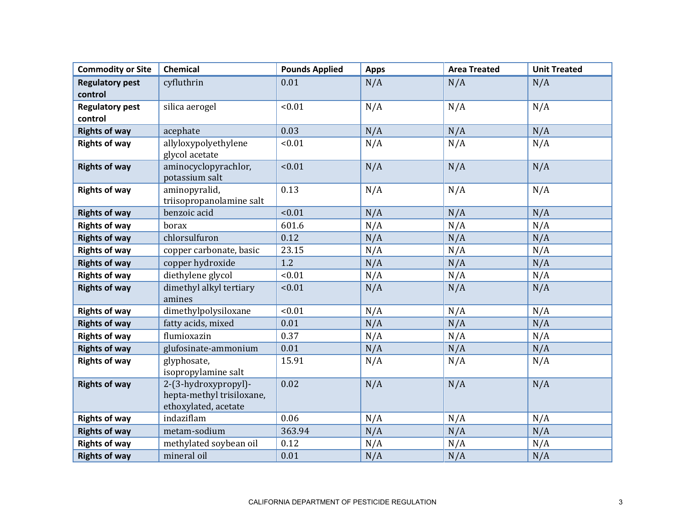| <b>Commodity or Site</b> | Chemical                                                                  | <b>Pounds Applied</b> | <b>Apps</b> | <b>Area Treated</b> | <b>Unit Treated</b> |
|--------------------------|---------------------------------------------------------------------------|-----------------------|-------------|---------------------|---------------------|
| <b>Regulatory pest</b>   | cyfluthrin                                                                | 0.01                  | N/A         | N/A                 | N/A                 |
| control                  |                                                                           |                       |             |                     |                     |
| <b>Regulatory pest</b>   | silica aerogel                                                            | < 0.01                | N/A         | N/A                 | N/A                 |
| control                  |                                                                           |                       |             |                     |                     |
| <b>Rights of way</b>     | acephate                                                                  | 0.03                  | N/A         | N/A                 | N/A                 |
| <b>Rights of way</b>     | allyloxypolyethylene                                                      | < 0.01                | N/A         | N/A                 | N/A                 |
|                          | glycol acetate                                                            |                       |             |                     |                     |
| <b>Rights of way</b>     | aminocyclopyrachlor,<br>potassium salt                                    | < 0.01                | N/A         | N/A                 | N/A                 |
| <b>Rights of way</b>     | aminopyralid,                                                             | 0.13                  | N/A         | N/A                 | N/A                 |
|                          | triisopropanolamine salt<br>benzoic acid                                  | < 0.01                |             |                     |                     |
| <b>Rights of way</b>     |                                                                           |                       | N/A         | N/A                 | N/A                 |
| <b>Rights of way</b>     | borax                                                                     | 601.6                 | N/A         | N/A                 | N/A                 |
| <b>Rights of way</b>     | chlorsulfuron                                                             | 0.12                  | N/A         | N/A                 | N/A                 |
| <b>Rights of way</b>     | copper carbonate, basic                                                   | 23.15                 | N/A         | N/A                 | N/A                 |
| <b>Rights of way</b>     | copper hydroxide                                                          | 1.2                   | N/A         | N/A                 | N/A                 |
| <b>Rights of way</b>     | diethylene glycol                                                         | < 0.01                | N/A         | N/A                 | N/A                 |
| <b>Rights of way</b>     | dimethyl alkyl tertiary<br>amines                                         | < 0.01                | N/A         | N/A                 | N/A                 |
| <b>Rights of way</b>     | dimethylpolysiloxane                                                      | < 0.01                | N/A         | N/A                 | N/A                 |
| <b>Rights of way</b>     | fatty acids, mixed                                                        | 0.01                  | N/A         | N/A                 | N/A                 |
| <b>Rights of way</b>     | flumioxazin                                                               | 0.37                  | N/A         | N/A                 | N/A                 |
| <b>Rights of way</b>     | glufosinate-ammonium                                                      | 0.01                  | N/A         | N/A                 | N/A                 |
| <b>Rights of way</b>     | glyphosate,<br>isopropylamine salt                                        | 15.91                 | N/A         | N/A                 | N/A                 |
| <b>Rights of way</b>     | 2-(3-hydroxypropyl)-<br>hepta-methyl trisiloxane,<br>ethoxylated, acetate | 0.02                  | N/A         | N/A                 | N/A                 |
| <b>Rights of way</b>     | indaziflam                                                                | 0.06                  | N/A         | N/A                 | N/A                 |
| <b>Rights of way</b>     | metam-sodium                                                              | 363.94                | N/A         | N/A                 | N/A                 |
| <b>Rights of way</b>     | methylated soybean oil                                                    | 0.12                  | N/A         | N/A                 | N/A                 |
| <b>Rights of way</b>     | mineral oil                                                               | 0.01                  | N/A         | N/A                 | N/A                 |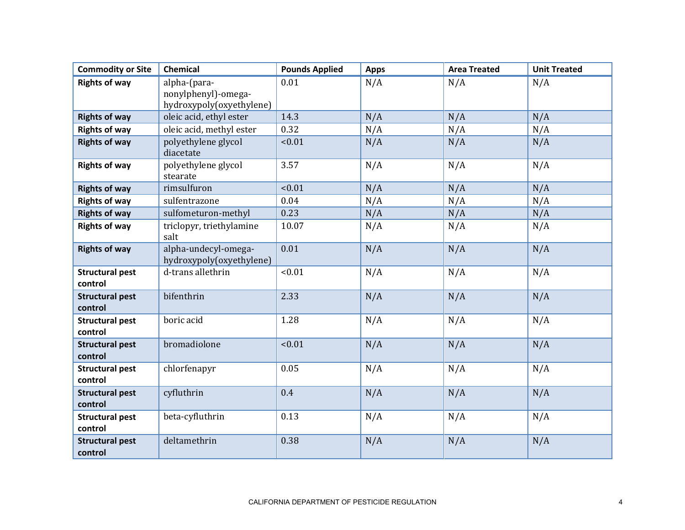| <b>Commodity or Site</b>          | Chemical                                                        | <b>Pounds Applied</b> | <b>Apps</b> | <b>Area Treated</b> | <b>Unit Treated</b> |
|-----------------------------------|-----------------------------------------------------------------|-----------------------|-------------|---------------------|---------------------|
| <b>Rights of way</b>              | alpha-(para-<br>nonylphenyl)-omega-<br>hydroxypoly(oxyethylene) | 0.01                  | N/A         | N/A                 | N/A                 |
| <b>Rights of way</b>              | oleic acid, ethyl ester                                         | 14.3                  | N/A         | N/A                 | N/A                 |
| <b>Rights of way</b>              | oleic acid, methyl ester                                        | 0.32                  | N/A         | N/A                 | N/A                 |
| <b>Rights of way</b>              | polyethylene glycol<br>diacetate                                | < 0.01                | N/A         | N/A                 | N/A                 |
| <b>Rights of way</b>              | polyethylene glycol<br>stearate                                 | 3.57                  | N/A         | N/A                 | N/A                 |
| <b>Rights of way</b>              | rimsulfuron                                                     | < 0.01                | N/A         | N/A                 | N/A                 |
| <b>Rights of way</b>              | sulfentrazone                                                   | 0.04                  | N/A         | N/A                 | N/A                 |
| <b>Rights of way</b>              | sulfometuron-methyl                                             | 0.23                  | N/A         | N/A                 | N/A                 |
| <b>Rights of way</b>              | triclopyr, triethylamine<br>salt                                | 10.07                 | N/A         | N/A                 | N/A                 |
| <b>Rights of way</b>              | alpha-undecyl-omega-<br>hydroxypoly(oxyethylene)                | 0.01                  | N/A         | N/A                 | N/A                 |
| <b>Structural pest</b><br>control | d-trans allethrin                                               | < 0.01                | N/A         | N/A                 | N/A                 |
| <b>Structural pest</b><br>control | bifenthrin                                                      | 2.33                  | N/A         | N/A                 | N/A                 |
| <b>Structural pest</b><br>control | boric acid                                                      | 1.28                  | N/A         | N/A                 | N/A                 |
| <b>Structural pest</b><br>control | bromadiolone                                                    | < 0.01                | N/A         | N/A                 | N/A                 |
| <b>Structural pest</b><br>control | chlorfenapyr                                                    | 0.05                  | N/A         | N/A                 | N/A                 |
| <b>Structural pest</b><br>control | cyfluthrin                                                      | 0.4                   | N/A         | N/A                 | N/A                 |
| <b>Structural pest</b><br>control | beta-cyfluthrin                                                 | 0.13                  | N/A         | N/A                 | N/A                 |
| <b>Structural pest</b><br>control | deltamethrin                                                    | 0.38                  | N/A         | N/A                 | N/A                 |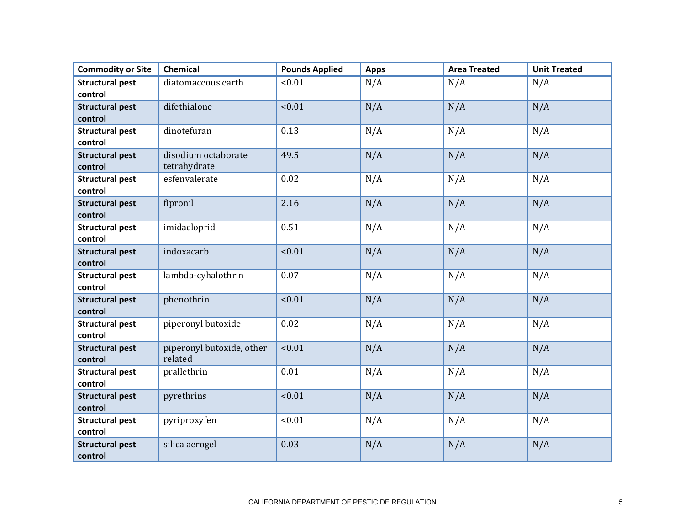| <b>Commodity or Site</b>          | Chemical                             | <b>Pounds Applied</b> | <b>Apps</b> | <b>Area Treated</b> | <b>Unit Treated</b> |
|-----------------------------------|--------------------------------------|-----------------------|-------------|---------------------|---------------------|
| <b>Structural pest</b>            | diatomaceous earth                   | < 0.01                | N/A         | N/A                 | N/A                 |
| control                           |                                      |                       |             |                     |                     |
| <b>Structural pest</b>            | difethialone                         | < 0.01                | N/A         | N/A                 | N/A                 |
| control                           |                                      |                       |             |                     |                     |
| <b>Structural pest</b>            | dinotefuran                          | 0.13                  | N/A         | N/A                 | N/A                 |
| control                           |                                      |                       |             |                     |                     |
| <b>Structural pest</b><br>control | disodium octaborate<br>tetrahydrate  | 49.5                  | N/A         | N/A                 | N/A                 |
| <b>Structural pest</b><br>control | esfenvalerate                        | 0.02                  | N/A         | N/A                 | N/A                 |
| <b>Structural pest</b><br>control | fipronil                             | 2.16                  | N/A         | N/A                 | N/A                 |
| <b>Structural pest</b><br>control | imidacloprid                         | 0.51                  | N/A         | N/A                 | N/A                 |
| <b>Structural pest</b><br>control | indoxacarb                           | < 0.01                | N/A         | N/A                 | N/A                 |
| <b>Structural pest</b><br>control | lambda-cyhalothrin                   | 0.07                  | N/A         | N/A                 | N/A                 |
| <b>Structural pest</b><br>control | phenothrin                           | < 0.01                | N/A         | N/A                 | N/A                 |
| <b>Structural pest</b><br>control | piperonyl butoxide                   | 0.02                  | N/A         | N/A                 | N/A                 |
| <b>Structural pest</b><br>control | piperonyl butoxide, other<br>related | < 0.01                | N/A         | N/A                 | N/A                 |
| <b>Structural pest</b><br>control | prallethrin                          | 0.01                  | N/A         | N/A                 | N/A                 |
| <b>Structural pest</b><br>control | pyrethrins                           | < 0.01                | N/A         | N/A                 | N/A                 |
| <b>Structural pest</b><br>control | pyriproxyfen                         | < 0.01                | N/A         | N/A                 | N/A                 |
| <b>Structural pest</b><br>control | silica aerogel                       | 0.03                  | N/A         | N/A                 | N/A                 |